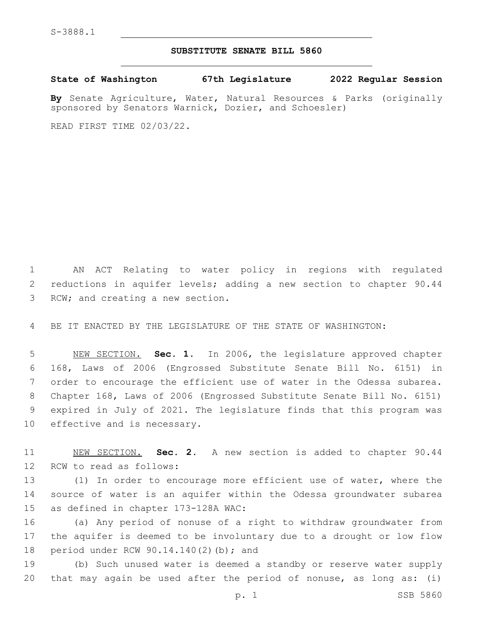## **SUBSTITUTE SENATE BILL 5860**

**State of Washington 67th Legislature 2022 Regular Session**

**By** Senate Agriculture, Water, Natural Resources & Parks (originally sponsored by Senators Warnick, Dozier, and Schoesler)

READ FIRST TIME 02/03/22.

1 AN ACT Relating to water policy in regions with regulated 2 reductions in aquifer levels; adding a new section to chapter 90.44 3 RCW; and creating a new section.

4 BE IT ENACTED BY THE LEGISLATURE OF THE STATE OF WASHINGTON:

 NEW SECTION. **Sec. 1.** In 2006, the legislature approved chapter 168, Laws of 2006 (Engrossed Substitute Senate Bill No. 6151) in order to encourage the efficient use of water in the Odessa subarea. Chapter 168, Laws of 2006 (Engrossed Substitute Senate Bill No. 6151) expired in July of 2021. The legislature finds that this program was effective and is necessary.

11 NEW SECTION. **Sec. 2.** A new section is added to chapter 90.44 12 RCW to read as follows:

13 (1) In order to encourage more efficient use of water, where the 14 source of water is an aquifer within the Odessa groundwater subarea 15 as defined in chapter 173-128A WAC:

16 (a) Any period of nonuse of a right to withdraw groundwater from 17 the aquifer is deemed to be involuntary due to a drought or low flow 18 period under RCW 90.14.140(2)(b); and

19 (b) Such unused water is deemed a standby or reserve water supply 20 that may again be used after the period of nonuse, as long as: (i)

p. 1 SSB 5860